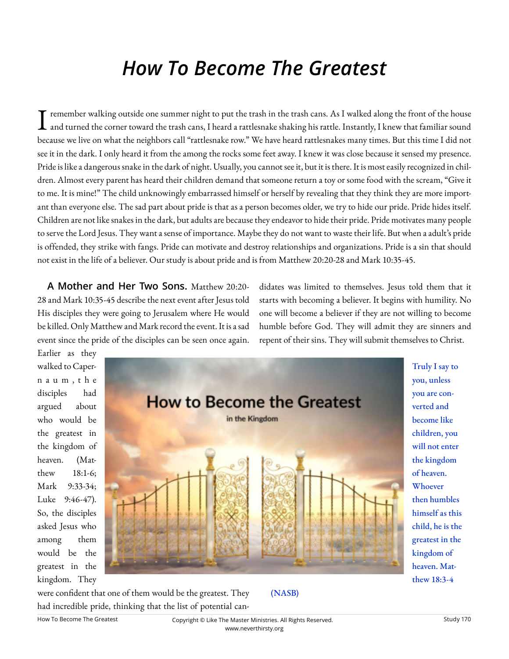# *How To Become The Greatest*

 $\cdot$  remember walking outside one summer night to put the trash in the trash cans. As I walked along the front of the house  $\blacktriangle$  and turned the corner toward the trash cans, I heard a rattlesnake shaking his rattle. Instantly, I knew that familiar sound because we live on what the neighbors call "rattlesnake row." We have heard rattlesnakes many times. But this time I did not see it in the dark. I only heard it from the among the rocks some feet away. I knew it was close because it sensed my presence. Pride is like a dangerous snake in the dark of night. Usually, you cannot see it, but it is there. It is most easily recognized in children. Almost every parent has heard their children demand that someone return a toy or some food with the scream, "Give it to me. It is mine!" The child unknowingly embarrassed himself or herself by revealing that they think they are more important than everyone else. The sad part about pride is that as a person becomes older, we try to hide our pride. Pride hides itself. Children are not like snakes in the dark, but adults are because they endeavor to hide their pride. Pride motivates many people to serve the Lord Jesus. They want a sense of importance. Maybe they do not want to waste their life. But when a adult's pride is offended, they strike with fangs. Pride can motivate and destroy relationships and organizations. Pride is a sin that should not exist in the life of a believer. Our study is about pride and is from Matthew 20:20-28 and Mark 10:35-45.

**A Mother and Her Two Sons.** Matthew 20:20- 28 and Mark 10:35-45 describe the next event after Jesus told His disciples they were going to Jerusalem where He would be killed. Only Matthew and Mark record the event. It is a sad event since the pride of the disciples can be seen once again.

didates was limited to themselves. Jesus told them that it starts with becoming a believer. It begins with humility. No one will become a believer if they are not willing to become humble before God. They will admit they are sinners and repent of their sins. They will submit themselves to Christ.

Earlier as they walked to Capern a u m , t h e disciples had argued about who would be the greatest in the kingdom of heaven. (Matthew 18:1-6; Mark 9:33-34; Luke 9:46-47). So, the disciples asked Jesus who among them would be the greatest in the kingdom. They



were confident that one of them would be the greatest. They had incredible pride, thinking that the list of potential can-

# (NASB)

Truly I say to you, unless you are converted and become like children, you will not enter the kingdom of heaven. Whoever then humbles himself as this child, he is the greatest in the kingdom of heaven. Matthew 18:3-4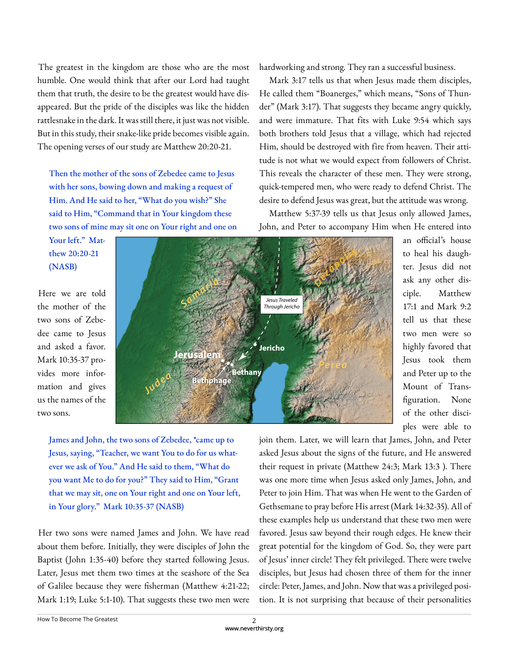The greatest in the kingdom are those who are the most humble. One would think that after our Lord had taught them that truth, the desire to be the greatest would have disappeared. But the pride of the disciples was like the hidden rattlesnake in the dark. It was still there, it just was not visible. But in this study, their snake-like pride becomes visible again. The opening verses of our study are Matthew 20:20-21.

Then the mother of the sons of Zebedee came to Jesus with her sons, bowing down and making a request of Him. And He said to her, "What do you wish?" She said to Him, "Command that in Your kingdom these two sons of mine may sit one on Your right and one on hardworking and strong. They ran a successful business.

Mark 3:17 tells us that when Jesus made them disciples, He called them "Boanerges," which means, "Sons of Thunder" (Mark 3:17). That suggests they became angry quickly, and were immature. That fits with Luke 9:54 which says both brothers told Jesus that a village, which had rejected Him, should be destroyed with fire from heaven. Their attitude is not what we would expect from followers of Christ. This reveals the character of these men. They were strong, quick-tempered men, who were ready to defend Christ. The desire to defend Jesus was great, but the attitude was wrong.

Matthew 5:37-39 tells us that Jesus only allowed James, John, and Peter to accompany Him when He entered into

Your left." Matthew 20:20-21 (NASB)

Here we are told the mother of the two sons of Zebedee came to Jesus and asked a favor. Mark 10:35-37 provides more information and gives us the names of the two sons.



James and John, the two sons of Zebedee, \*came up to Jesus, saying, "Teacher, we want You to do for us whatever we ask of You." And He said to them, "What do you want Me to do for you?" They said to Him, "Grant that we may sit, one on Your right and one on Your left, in Your glory." Mark 10:35-37 (NASB)

Her two sons were named James and John. We have read about them before. Initially, they were disciples of John the Baptist (John 1:35-40) before they started following Jesus. Later, Jesus met them two times at the seashore of the Sea of Galilee because they were fisherman (Matthew 4:21-22; Mark 1:19; Luke 5:1-10). That suggests these two men were

to heal his daughter. Jesus did not ask any other disciple. Matthew 17:1 and Mark 9:2 tell us that these two men were so highly favored that Jesus took them and Peter up to the Mount of Transfiguration. None of the other disciples were able to

an official's house

join them. Later, we will learn that James, John, and Peter asked Jesus about the signs of the future, and He answered their request in private (Matthew 24:3; Mark 13:3 ). There was one more time when Jesus asked only James, John, and Peter to join Him. That was when He went to the Garden of Gethsemane to pray before His arrest (Mark 14:32-35). All of these examples help us understand that these two men were favored. Jesus saw beyond their rough edges. He knew their great potential for the kingdom of God. So, they were part of Jesus' inner circle! They felt privileged. There were twelve disciples, but Jesus had chosen three of them for the inner circle: Peter, James, and John. Now that was a privileged position. It is not surprising that because of their personalities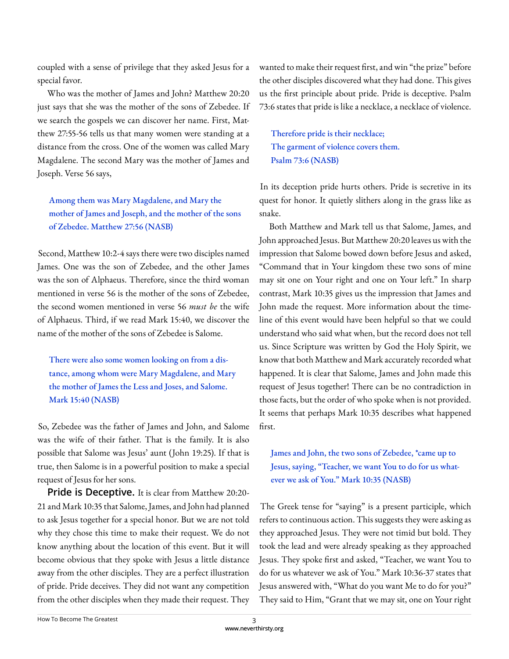coupled with a sense of privilege that they asked Jesus for a special favor.

Who was the mother of James and John? Matthew 20:20 just says that she was the mother of the sons of Zebedee. If we search the gospels we can discover her name. First, Matthew 27:55-56 tells us that many women were standing at a distance from the cross. One of the women was called Mary Magdalene. The second Mary was the mother of James and Joseph. Verse 56 says,

Among them was Mary Magdalene, and Mary the mother of James and Joseph, and the mother of the sons of Zebedee. Matthew 27:56 (NASB)

Second, Matthew 10:2-4 says there were two disciples named James. One was the son of Zebedee, and the other James was the son of Alphaeus. Therefore, since the third woman mentioned in verse 56 is the mother of the sons of Zebedee, the second women mentioned in verse 56 *must be* the wife of Alphaeus. Third, if we read Mark 15:40, we discover the name of the mother of the sons of Zebedee is Salome.

There were also some women looking on from a distance, among whom were Mary Magdalene, and Mary the mother of James the Less and Joses, and Salome. Mark 15:40 (NASB)

So, Zebedee was the father of James and John, and Salome was the wife of their father. That is the family. It is also possible that Salome was Jesus' aunt (John 19:25). If that is true, then Salome is in a powerful position to make a special request of Jesus for her sons.

**Pride is Deceptive.** It is clear from Matthew 20:20-21 and Mark 10:35 that Salome, James, and John had planned to ask Jesus together for a special honor. But we are not told why they chose this time to make their request. We do not know anything about the location of this event. But it will become obvious that they spoke with Jesus a little distance away from the other disciples. They are a perfect illustration of pride. Pride deceives. They did not want any competition from the other disciples when they made their request. They

wanted to make their request first, and win "the prize" before the other disciples discovered what they had done. This gives us the first principle about pride. Pride is deceptive. Psalm 73:6 states that pride is like a necklace, a necklace of violence.

Therefore pride is their necklace; The garment of violence covers them. Psalm 73:6 (NASB)

In its deception pride hurts others. Pride is secretive in its quest for honor. It quietly slithers along in the grass like as snake.

Both Matthew and Mark tell us that Salome, James, and John approached Jesus. But Matthew 20:20 leaves us with the impression that Salome bowed down before Jesus and asked, "Command that in Your kingdom these two sons of mine may sit one on Your right and one on Your left." In sharp contrast, Mark 10:35 gives us the impression that James and John made the request. More information about the timeline of this event would have been helpful so that we could understand who said what when, but the record does not tell us. Since Scripture was written by God the Holy Spirit, we know that both Matthew and Mark accurately recorded what happened. It is clear that Salome, James and John made this request of Jesus together! There can be no contradiction in those facts, but the order of who spoke when is not provided. It seems that perhaps Mark 10:35 describes what happened first.

James and John, the two sons of Zebedee, \*came up to Jesus, saying, "Teacher, we want You to do for us whatever we ask of You." Mark 10:35 (NASB)

The Greek tense for "saying" is a present participle, which refers to continuous action. This suggests they were asking as they approached Jesus. They were not timid but bold. They took the lead and were already speaking as they approached Jesus. They spoke first and asked, "Teacher, we want You to do for us whatever we ask of You." Mark 10:36-37 states that Jesus answered with, "What do you want Me to do for you?" They said to Him, "Grant that we may sit, one on Your right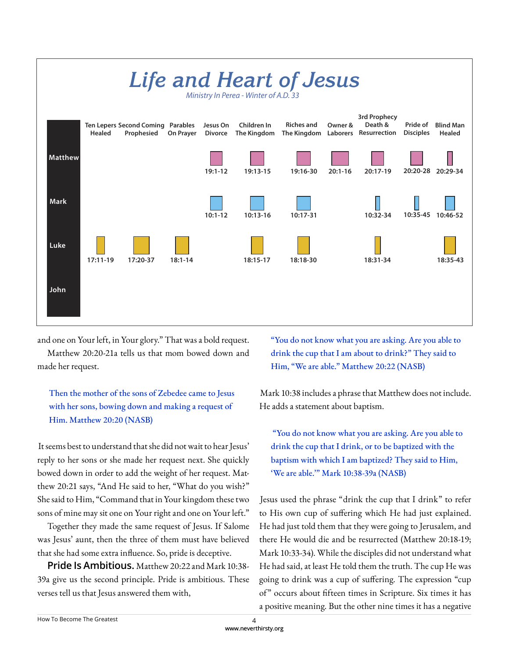

and one on Your left, in Your glory." That was a bold request.

Matthew 20:20-21a tells us that mom bowed down and made her request.

Then the mother of the sons of Zebedee came to Jesus with her sons, bowing down and making a request of Him. Matthew 20:20 (NASB)

It seems best to understand that she did not wait to hear Jesus' reply to her sons or she made her request next. She quickly bowed down in order to add the weight of her request. Matthew 20:21 says, "And He said to her, "What do you wish?" She said to Him, "Command that in Your kingdom these two sons of mine may sit one on Your right and one on Your left."

Together they made the same request of Jesus. If Salome was Jesus' aunt, then the three of them must have believed that she had some extra influence. So, pride is deceptive.

**Pride Is Ambitious.** Matthew 20:22 and Mark 10:38- 39a give us the second principle. Pride is ambitious. These verses tell us that Jesus answered them with,

"You do not know what you are asking. Are you able to drink the cup that I am about to drink?" They said to Him, "We are able." Matthew 20:22 (NASB)

Mark 10:38 includes a phrase that Matthew does not include. He adds a statement about baptism.

 "You do not know what you are asking. Are you able to drink the cup that I drink, or to be baptized with the baptism with which I am baptized? They said to Him, 'We are able.'" Mark 10:38-39a (NASB)

Jesus used the phrase "drink the cup that I drink" to refer to His own cup of suffering which He had just explained. He had just told them that they were going to Jerusalem, and there He would die and be resurrected (Matthew 20:18-19; Mark 10:33-34). While the disciples did not understand what He had said, at least He told them the truth. The cup He was going to drink was a cup of suffering. The expression "cup of" occurs about fifteen times in Scripture. Six times it has a positive meaning. But the other nine times it has a negative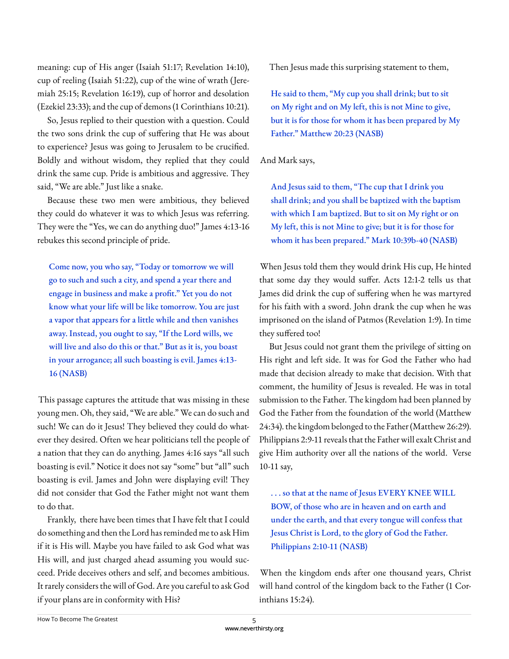meaning: cup of His anger (Isaiah 51:17; Revelation 14:10), cup of reeling (Isaiah 51:22), cup of the wine of wrath (Jeremiah 25:15; Revelation 16:19), cup of horror and desolation (Ezekiel 23:33); and the cup of demons (1 Corinthians 10:21).

So, Jesus replied to their question with a question. Could the two sons drink the cup of suffering that He was about to experience? Jesus was going to Jerusalem to be crucified. Boldly and without wisdom, they replied that they could drink the same cup. Pride is ambitious and aggressive. They said, "We are able." Just like a snake.

Because these two men were ambitious, they believed they could do whatever it was to which Jesus was referring. They were the "Yes, we can do anything duo!" James 4:13-16 rebukes this second principle of pride.

Come now, you who say, "Today or tomorrow we will go to such and such a city, and spend a year there and engage in business and make a profit." Yet you do not know what your life will be like tomorrow. You are just a vapor that appears for a little while and then vanishes away. Instead, you ought to say, "If the Lord wills, we will live and also do this or that." But as it is, you boast in your arrogance; all such boasting is evil. James 4:13- 16 (NASB)

This passage captures the attitude that was missing in these young men. Oh, they said, "We are able." We can do such and such! We can do it Jesus! They believed they could do whatever they desired. Often we hear politicians tell the people of a nation that they can do anything. James 4:16 says "all such boasting is evil." Notice it does not say "some" but "all" such boasting is evil. James and John were displaying evil! They did not consider that God the Father might not want them to do that.

Frankly, there have been times that I have felt that I could do something and then the Lord has reminded me to ask Him if it is His will. Maybe you have failed to ask God what was His will, and just charged ahead assuming you would succeed. Pride deceives others and self, and becomes ambitious. It rarely considers the will of God. Are you careful to ask God if your plans are in conformity with His?

Then Jesus made this surprising statement to them,

He said to them, "My cup you shall drink; but to sit on My right and on My left, this is not Mine to give, but it is for those for whom it has been prepared by My Father." Matthew 20:23 (NASB)

#### And Mark says,

And Jesus said to them, "The cup that I drink you shall drink; and you shall be baptized with the baptism with which I am baptized. But to sit on My right or on My left, this is not Mine to give; but it is for those for whom it has been prepared." Mark 10:39b-40 (NASB)

When Jesus told them they would drink His cup, He hinted that some day they would suffer. Acts 12:1-2 tells us that James did drink the cup of suffering when he was martyred for his faith with a sword. John drank the cup when he was imprisoned on the island of Patmos (Revelation 1:9). In time they suffered too!

But Jesus could not grant them the privilege of sitting on His right and left side. It was for God the Father who had made that decision already to make that decision. With that comment, the humility of Jesus is revealed. He was in total submission to the Father. The kingdom had been planned by God the Father from the foundation of the world (Matthew 24:34). the kingdom belonged to the Father (Matthew 26:29). Philippians 2:9-11 reveals that the Father will exalt Christ and give Him authority over all the nations of the world. Verse 10-11 say,

. . . so that at the name of Jesus EVERY KNEE WILL BOW, of those who are in heaven and on earth and under the earth, and that every tongue will confess that Jesus Christ is Lord, to the glory of God the Father. Philippians 2:10-11 (NASB)

When the kingdom ends after one thousand years, Christ will hand control of the kingdom back to the Father (1 Corinthians 15:24).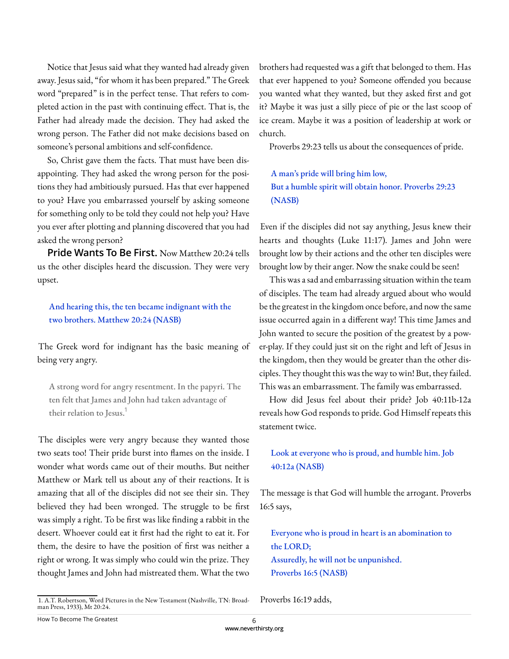Notice that Jesus said what they wanted had already given away. Jesus said, "for whom it has been prepared." The Greek word "prepared" is in the perfect tense. That refers to completed action in the past with continuing effect. That is, the Father had already made the decision. They had asked the wrong person. The Father did not make decisions based on someone's personal ambitions and self-confidence.

So, Christ gave them the facts. That must have been disappointing. They had asked the wrong person for the positions they had ambitiously pursued. Has that ever happened to you? Have you embarrassed yourself by asking someone for something only to be told they could not help you? Have you ever after plotting and planning discovered that you had asked the wrong person?

**Pride Wants To Be First.** Now Matthew 20:24 tells us the other disciples heard the discussion. They were very upset.

And hearing this, the ten became indignant with the two brothers. Matthew 20:24 (NASB)

The Greek word for indignant has the basic meaning of being very angry.

A strong word for angry resentment. In the papyri. The ten felt that James and John had taken advantage of their relation to Jesus.<sup>1</sup>

The disciples were very angry because they wanted those two seats too! Their pride burst into flames on the inside. I wonder what words came out of their mouths. But neither Matthew or Mark tell us about any of their reactions. It is amazing that all of the disciples did not see their sin. They believed they had been wronged. The struggle to be first was simply a right. To be first was like finding a rabbit in the desert. Whoever could eat it first had the right to eat it. For them, the desire to have the position of first was neither a right or wrong. It was simply who could win the prize. They thought James and John had mistreated them. What the two

1. A.T. Robertson, Word Pictures in the New Testament (Nashville, TN: Broadman Press, 1933), Mt 20:24.

brothers had requested was a gift that belonged to them. Has that ever happened to you? Someone offended you because you wanted what they wanted, but they asked first and got it? Maybe it was just a silly piece of pie or the last scoop of ice cream. Maybe it was a position of leadership at work or church.

Proverbs 29:23 tells us about the consequences of pride.

A man's pride will bring him low, But a humble spirit will obtain honor. Proverbs 29:23 (NASB)

Even if the disciples did not say anything, Jesus knew their hearts and thoughts (Luke 11:17). James and John were brought low by their actions and the other ten disciples were brought low by their anger. Now the snake could be seen!

This was a sad and embarrassing situation within the team of disciples. The team had already argued about who would be the greatest in the kingdom once before, and now the same issue occurred again in a different way! This time James and John wanted to secure the position of the greatest by a power-play. If they could just sit on the right and left of Jesus in the kingdom, then they would be greater than the other disciples. They thought this was the way to win! But, they failed. This was an embarrassment. The family was embarrassed.

How did Jesus feel about their pride? Job 40:11b-12a reveals how God responds to pride. God Himself repeats this statement twice.

## Look at everyone who is proud, and humble him. Job 40:12a (NASB)

The message is that God will humble the arrogant. Proverbs 16:5 says,

Everyone who is proud in heart is an abomination to the LORD; Assuredly, he will not be unpunished. Proverbs 16:5 (NASB)

Proverbs 16:19 adds,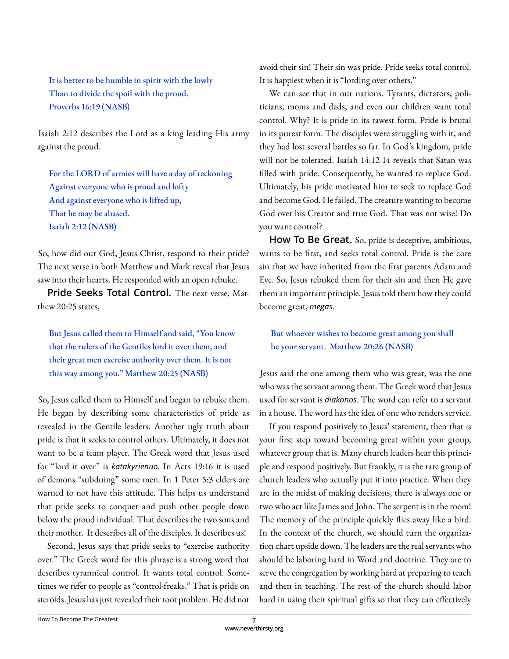It is better to be humble in spirit with the lowly Than to divide the spoil with the proud. Proverbs 16:19 (NASB)

Isaiah 2:12 describes the Lord as a king leading His army against the proud.

For the LORD of armies will have a day of reckoning Against everyone who is proud and lofty And against everyone who is lifted up, That he may be abased. Isaiah 2:12 (NASB)

So, how did our God, Jesus Christ, respond to their pride? The next verse in both Matthew and Mark reveal that Jesus saw into their hearts. He responded with an open rebuke.

**Pride Seeks Total Control.** The next verse, Matthew 20:25 states,

But Jesus called them to Himself and said, "You know that the rulers of the Gentiles lord it over them, and their great men exercise authority over them. It is not this way among you." Matthew 20:25 (NASB)

So, Jesus called them to Himself and began to rebuke them. He began by describing some characteristics of pride as revealed in the Gentile leaders. Another ugly truth about pride is that it seeks to control others. Ultimately, it does not want to be a team player. The Greek word that Jesus used for "lord it over" is *katakyrienuo*. In Acts 19:16 it is used of demons "subduing" some men. In 1 Peter 5:3 elders are warned to not have this attitude. This helps us understand that pride seeks to conquer and push other people down below the proud individual. That describes the two sons and their mother. It describes all of the disciples. It describes us!

Second, Jesus says that pride seeks to "exercise authority over." The Greek word for this phrase is a strong word that describes tyrannical control. It wants total control. Sometimes we refer to people as "control-freaks." That is pride on steroids. Jesus has just revealed their root problem. He did not

avoid their sin! Their sin was pride. Pride seeks total control. It is happiest when it is "lording over others."

We can see that in our nations. Tyrants, dictators, politicians, moms and dads, and even our children want total control. Why? It is pride in its rawest form. Pride is brutal in its purest form. The disciples were struggling with it, and they had lost several battles so far. In God's kingdom, pride will not be tolerated. Isaiah 14:12-14 reveals that Satan was filled with pride. Consequently, he wanted to replace God. Ultimately, his pride motivated him to seek to replace God and become God. He failed. The creature wanting to become God over his Creator and true God. That was not wise! Do you want control?

**How To Be Great.** So, pride is deceptive, ambitious, wants to be first, and seeks total control. Pride is the core sin that we have inherited from the first parents Adam and Eve. So, Jesus rebuked them for their sin and then He gave them an important principle. Jesus told them how they could become great, *megas*.

But whoever wishes to become great among you shall be your servant. Matthew 20:26 (NASB)

Jesus said the one among them who was great, was the one who was the servant among them. The Greek word that Jesus used for servant is *diakonos*. The word can refer to a servant in a house. The word has the idea of one who renders service.

If you respond positively to Jesus' statement, then that is your first step toward becoming great within your group, whatever group that is. Many church leaders hear this principle and respond positively. But frankly, it is the rare group of church leaders who actually put it into practice. When they are in the midst of making decisions, there is always one or two who act like James and John. The serpent is in the room! The memory of the principle quickly flies away like a bird. In the context of the church, we should turn the organization chart upside down. The leaders are the real servants who should be laboring hard in Word and doctrine. They are to serve the congregation by working hard at preparing to teach and then in teaching. The rest of the church should labor hard in using their spiritual gifts so that they can effectively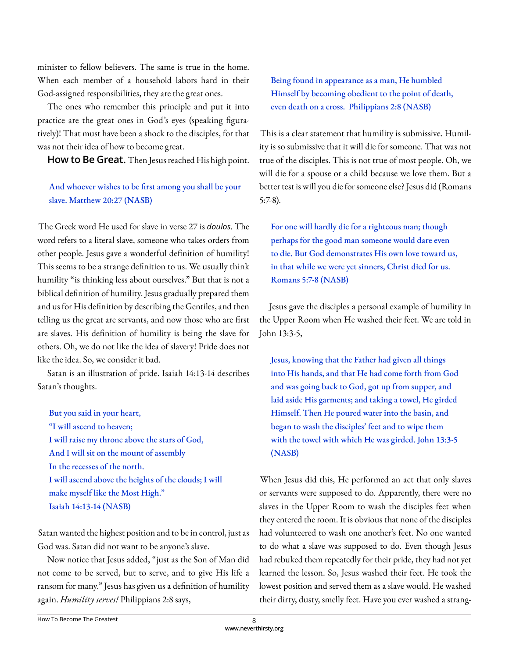minister to fellow believers. The same is true in the home. When each member of a household labors hard in their God-assigned responsibilities, they are the great ones.

The ones who remember this principle and put it into practice are the great ones in God's eyes (speaking figuratively)! That must have been a shock to the disciples, for that was not their idea of how to become great.

**How to Be Great.** Then Jesus reached His high point.

## And whoever wishes to be first among you shall be your slave. Matthew 20:27 (NASB)

The Greek word He used for slave in verse 27 is *doulos*. The word refers to a literal slave, someone who takes orders from other people. Jesus gave a wonderful definition of humility! This seems to be a strange definition to us. We usually think humility "is thinking less about ourselves." But that is not a biblical definition of humility. Jesus gradually prepared them and us for His definition by describing the Gentiles, and then telling us the great are servants, and now those who are first are slaves. His definition of humility is being the slave for others. Oh, we do not like the idea of slavery! Pride does not like the idea. So, we consider it bad.

Satan is an illustration of pride. Isaiah 14:13-14 describes Satan's thoughts.

But you said in your heart, "I will ascend to heaven; I will raise my throne above the stars of God, And I will sit on the mount of assembly In the recesses of the north. I will ascend above the heights of the clouds; I will make myself like the Most High." Isaiah 14:13-14 (NASB)

Satan wanted the highest position and to be in control, just as God was. Satan did not want to be anyone's slave.

Now notice that Jesus added, "just as the Son of Man did not come to be served, but to serve, and to give His life a ransom for many." Jesus has given us a definition of humility again. *Humility serves!* Philippians 2:8 says,

Being found in appearance as a man, He humbled Himself by becoming obedient to the point of death, even death on a cross. Philippians 2:8 (NASB)

This is a clear statement that humility is submissive. Humility is so submissive that it will die for someone. That was not true of the disciples. This is not true of most people. Oh, we will die for a spouse or a child because we love them. But a better test is will you die for someone else? Jesus did (Romans 5:7-8).

For one will hardly die for a righteous man; though perhaps for the good man someone would dare even to die. But God demonstrates His own love toward us, in that while we were yet sinners, Christ died for us. Romans 5:7-8 (NASB)

Jesus gave the disciples a personal example of humility in the Upper Room when He washed their feet. We are told in John 13:3-5,

Jesus, knowing that the Father had given all things into His hands, and that He had come forth from God and was going back to God, got up from supper, and laid aside His garments; and taking a towel, He girded Himself. Then He poured water into the basin, and began to wash the disciples' feet and to wipe them with the towel with which He was girded. John 13:3-5 (NASB)

When Jesus did this, He performed an act that only slaves or servants were supposed to do. Apparently, there were no slaves in the Upper Room to wash the disciples feet when they entered the room. It is obvious that none of the disciples had volunteered to wash one another's feet. No one wanted to do what a slave was supposed to do. Even though Jesus had rebuked them repeatedly for their pride, they had not yet learned the lesson. So, Jesus washed their feet. He took the lowest position and served them as a slave would. He washed their dirty, dusty, smelly feet. Have you ever washed a strang